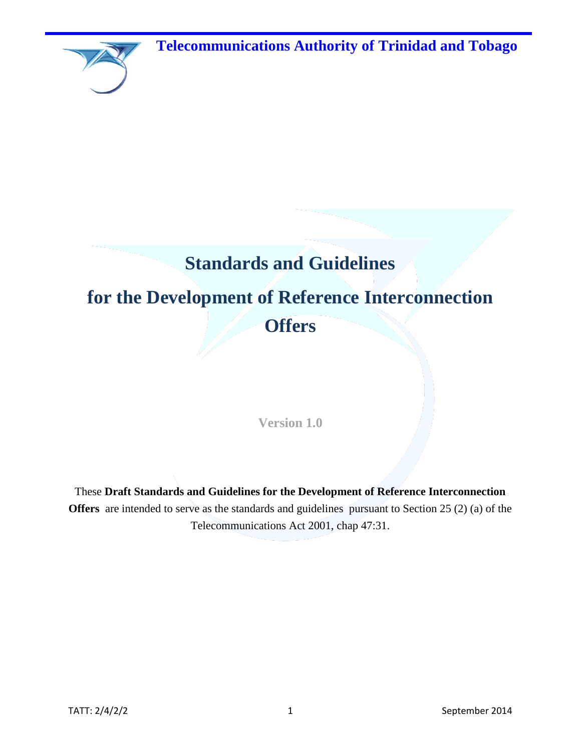**Telecommunications Authority of Trinidad and Tobago**



# **Standards and Guidelines**

# **for the Development of Reference Interconnection Offers**

**Version 1.0**

These **Draft Standards and Guidelines for the Development of Reference Interconnection Offers** are intended to serve as the standards and guidelines pursuant to Section 25 (2) (a) of the Telecommunications Act 2001, chap 47:31.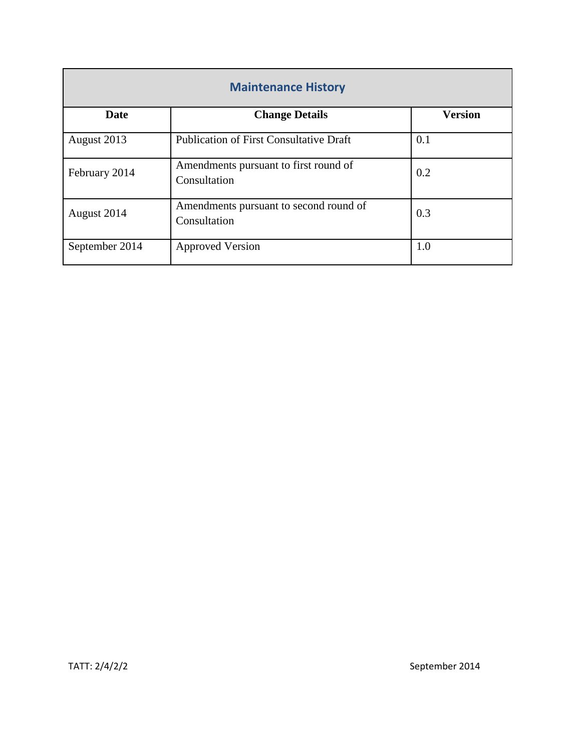| <b>Maintenance History</b> |                                                        |                |  |  |  |
|----------------------------|--------------------------------------------------------|----------------|--|--|--|
| <b>Date</b>                | <b>Change Details</b>                                  | <b>Version</b> |  |  |  |
| August 2013                | <b>Publication of First Consultative Draft</b>         | 0.1            |  |  |  |
| February 2014              | Amendments pursuant to first round of<br>Consultation  | 0.2            |  |  |  |
| August 2014                | Amendments pursuant to second round of<br>Consultation | 0.3            |  |  |  |
| September 2014             | <b>Approved Version</b>                                | 1.0            |  |  |  |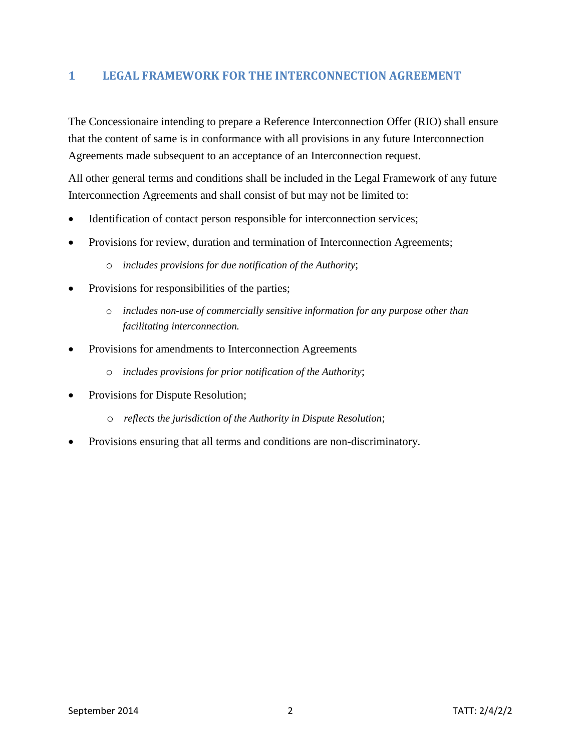# **1 LEGAL FRAMEWORK FOR THE INTERCONNECTION AGREEMENT**

The Concessionaire intending to prepare a Reference Interconnection Offer (RIO) shall ensure that the content of same is in conformance with all provisions in any future Interconnection Agreements made subsequent to an acceptance of an Interconnection request.

All other general terms and conditions shall be included in the Legal Framework of any future Interconnection Agreements and shall consist of but may not be limited to:

- Identification of contact person responsible for interconnection services;
- Provisions for review, duration and termination of Interconnection Agreements;
	- o *includes provisions for due notification of the Authority*;
- Provisions for responsibilities of the parties;
	- o *includes non-use of commercially sensitive information for any purpose other than facilitating interconnection.*
- Provisions for amendments to Interconnection Agreements
	- o *includes provisions for prior notification of the Authority*;
- Provisions for Dispute Resolution;
	- o *reflects the jurisdiction of the Authority in Dispute Resolution*;
- Provisions ensuring that all terms and conditions are non-discriminatory.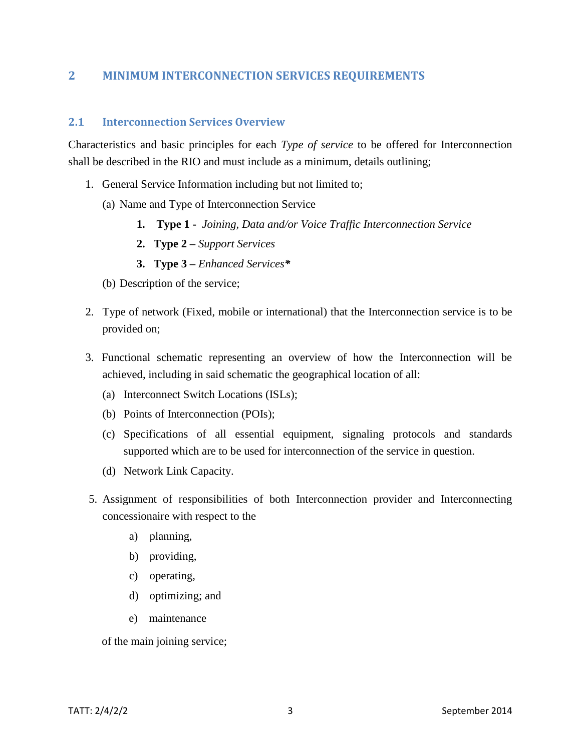# **2 MINIMUM INTERCONNECTION SERVICES REQUIREMENTS**

#### **2.1 Interconnection Services Overview**

Characteristics and basic principles for each *Type of service* to be offered for Interconnection shall be described in the RIO and must include as a minimum, details outlining;

- 1. General Service Information including but not limited to;
	- (a) Name and Type of Interconnection Service
		- **1. Type 1** *Joining, Data and/or Voice Traffic Interconnection Service*
		- **2. Type 2 –** *Support Services*
		- **3. Type 3 –** *Enhanced Services\**
	- (b) Description of the service;
- 2. Type of network (Fixed, mobile or international) that the Interconnection service is to be provided on;
- 3. Functional schematic representing an overview of how the Interconnection will be achieved, including in said schematic the geographical location of all:
	- (a) Interconnect Switch Locations (ISLs);
	- (b) Points of Interconnection (POIs);
	- (c) Specifications of all essential equipment, signaling protocols and standards supported which are to be used for interconnection of the service in question.
	- (d) Network Link Capacity.
- 5. Assignment of responsibilities of both Interconnection provider and Interconnecting concessionaire with respect to the
	- a) planning,
	- b) providing,
	- c) operating,
	- d) optimizing; and
	- e) maintenance

of the main joining service;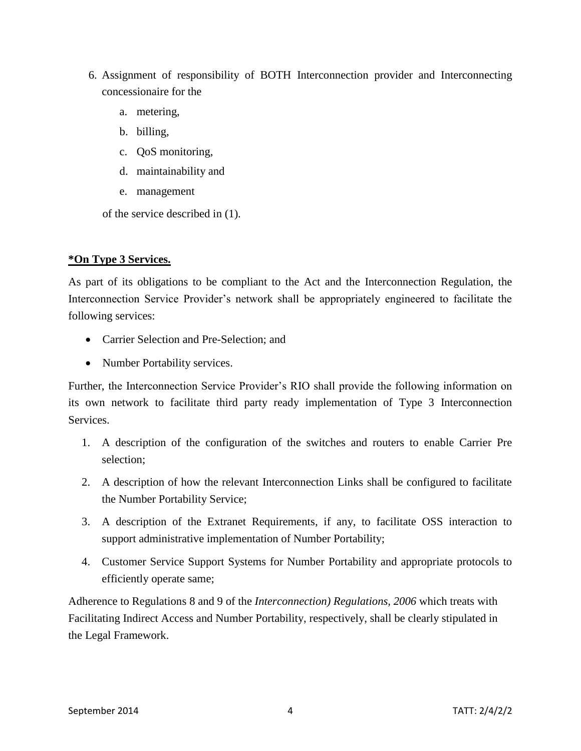- 6. Assignment of responsibility of BOTH Interconnection provider and Interconnecting concessionaire for the
	- a. metering,
	- b. billing,
	- c. QoS monitoring,
	- d. maintainability and
	- e. management

of the service described in (1).

# **\*On Type 3 Services.**

As part of its obligations to be compliant to the Act and the Interconnection Regulation, the Interconnection Service Provider's network shall be appropriately engineered to facilitate the following services:

- Carrier Selection and Pre-Selection; and
- Number Portability services.

Further, the Interconnection Service Provider's RIO shall provide the following information on its own network to facilitate third party ready implementation of Type 3 Interconnection Services.

- 1. A description of the configuration of the switches and routers to enable Carrier Pre selection;
- 2. A description of how the relevant Interconnection Links shall be configured to facilitate the Number Portability Service;
- 3. A description of the Extranet Requirements, if any, to facilitate OSS interaction to support administrative implementation of Number Portability;
- 4. Customer Service Support Systems for Number Portability and appropriate protocols to efficiently operate same;

Adherence to Regulations 8 and 9 of the *Interconnection) Regulations, 2006* which treats with Facilitating Indirect Access and Number Portability, respectively, shall be clearly stipulated in the Legal Framework.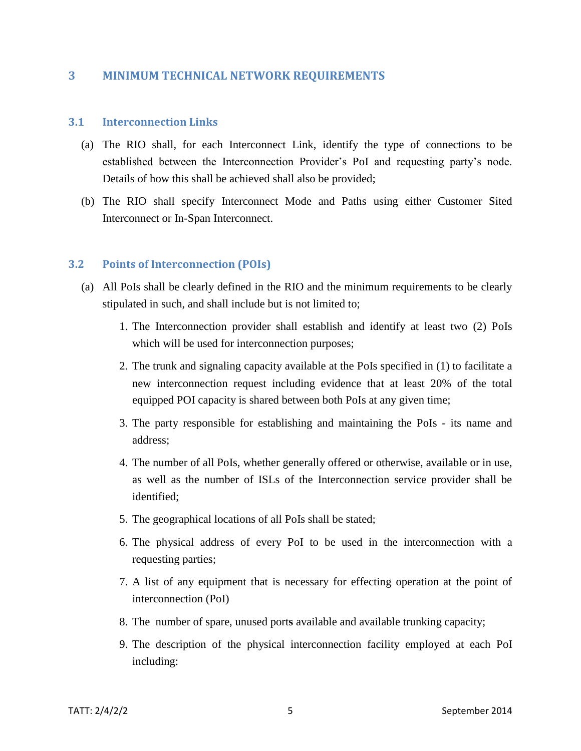#### **3 MINIMUM TECHNICAL NETWORK REQUIREMENTS**

#### **3.1 Interconnection Links**

- (a) The RIO shall, for each Interconnect Link, identify the type of connections to be established between the Interconnection Provider's PoI and requesting party's node. Details of how this shall be achieved shall also be provided;
- (b) The RIO shall specify Interconnect Mode and Paths using either Customer Sited Interconnect or In-Span Interconnect.

#### **3.2 Points of Interconnection (POIs)**

- (a) All PoIs shall be clearly defined in the RIO and the minimum requirements to be clearly stipulated in such, and shall include but is not limited to;
	- 1. The Interconnection provider shall establish and identify at least two (2) PoIs which will be used for interconnection purposes;
	- 2. The trunk and signaling capacity available at the PoIs specified in (1) to facilitate a new interconnection request including evidence that at least 20% of the total equipped POI capacity is shared between both PoIs at any given time;
	- 3. The party responsible for establishing and maintaining the PoIs its name and address;
	- 4. The number of all PoIs, whether generally offered or otherwise, available or in use, as well as the number of ISLs of the Interconnection service provider shall be identified;
	- 5. The geographical locations of all PoIs shall be stated;
	- 6. The physical address of every PoI to be used in the interconnection with a requesting parties;
	- 7. A list of any equipment that is necessary for effecting operation at the point of interconnection (PoI)
	- 8. The number of spare, unused port**s** available and available trunking capacity;
	- 9. The description of the physical interconnection facility employed at each PoI including: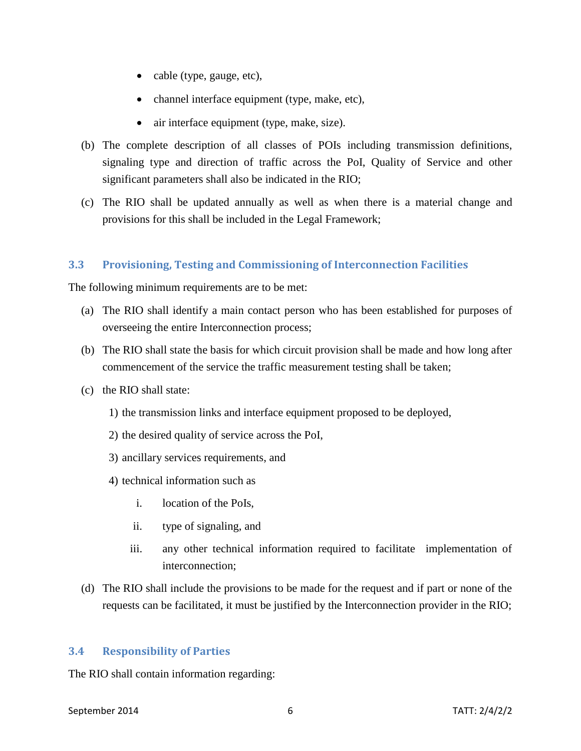- cable (type, gauge, etc),
- channel interface equipment (type, make, etc),
- air interface equipment (type, make, size).
- (b) The complete description of all classes of POIs including transmission definitions, signaling type and direction of traffic across the PoI, Quality of Service and other significant parameters shall also be indicated in the RIO;
- (c) The RIO shall be updated annually as well as when there is a material change and provisions for this shall be included in the Legal Framework;

# **3.3 Provisioning, Testing and Commissioning of Interconnection Facilities**

The following minimum requirements are to be met:

- (a) The RIO shall identify a main contact person who has been established for purposes of overseeing the entire Interconnection process;
- (b) The RIO shall state the basis for which circuit provision shall be made and how long after commencement of the service the traffic measurement testing shall be taken;
- (c) the RIO shall state:
	- 1) the transmission links and interface equipment proposed to be deployed,
	- 2) the desired quality of service across the PoI,
	- 3) ancillary services requirements, and
	- 4) technical information such as
		- i. location of the PoIs,
		- ii. type of signaling, and
		- iii. any other technical information required to facilitate implementation of interconnection;
- (d) The RIO shall include the provisions to be made for the request and if part or none of the requests can be facilitated, it must be justified by the Interconnection provider in the RIO;

#### **3.4 Responsibility of Parties**

The RIO shall contain information regarding: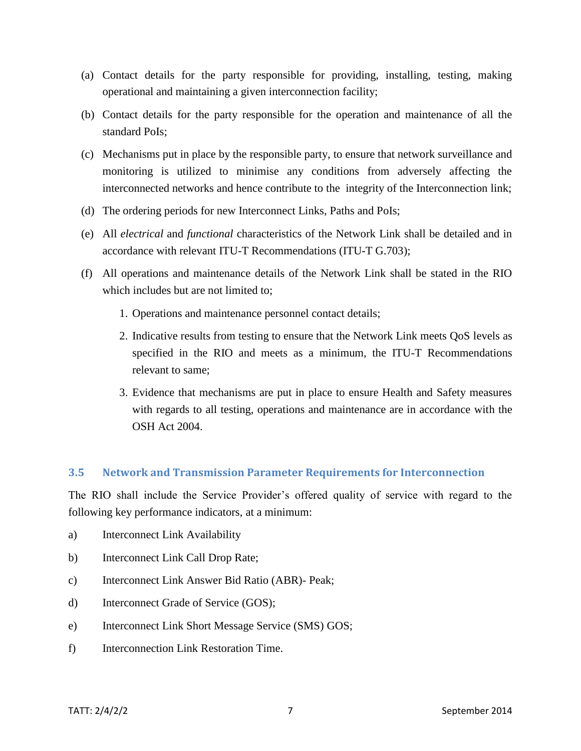- (a) Contact details for the party responsible for providing, installing, testing, making operational and maintaining a given interconnection facility;
- (b) Contact details for the party responsible for the operation and maintenance of all the standard PoIs;
- (c) Mechanisms put in place by the responsible party, to ensure that network surveillance and monitoring is utilized to minimise any conditions from adversely affecting the interconnected networks and hence contribute to the integrity of the Interconnection link;
- (d) The ordering periods for new Interconnect Links, Paths and PoIs;
- (e) All *electrical* and *functional* characteristics of the Network Link shall be detailed and in accordance with relevant ITU-T Recommendations (ITU-T G.703);
- (f) All operations and maintenance details of the Network Link shall be stated in the RIO which includes but are not limited to;
	- 1. Operations and maintenance personnel contact details;
	- 2. Indicative results from testing to ensure that the Network Link meets QoS levels as specified in the RIO and meets as a minimum, the ITU-T Recommendations relevant to same;
	- 3. Evidence that mechanisms are put in place to ensure Health and Safety measures with regards to all testing, operations and maintenance are in accordance with the OSH Act 2004.

#### **3.5 Network and Transmission Parameter Requirements for Interconnection**

The RIO shall include the Service Provider's offered quality of service with regard to the following key performance indicators, at a minimum:

- a) Interconnect Link Availability
- b) Interconnect Link Call Drop Rate;
- c) Interconnect Link Answer Bid Ratio (ABR)- Peak;
- d) Interconnect Grade of Service (GOS);
- e) Interconnect Link Short Message Service (SMS) GOS;
- f) Interconnection Link Restoration Time.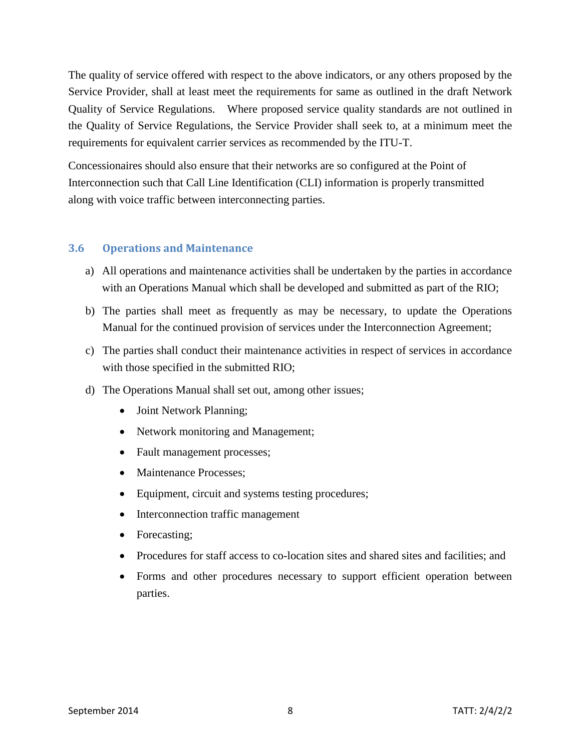The quality of service offered with respect to the above indicators, or any others proposed by the Service Provider, shall at least meet the requirements for same as outlined in the draft Network Quality of Service Regulations. Where proposed service quality standards are not outlined in the Quality of Service Regulations, the Service Provider shall seek to, at a minimum meet the requirements for equivalent carrier services as recommended by the ITU-T.

Concessionaires should also ensure that their networks are so configured at the Point of Interconnection such that Call Line Identification (CLI) information is properly transmitted along with voice traffic between interconnecting parties.

### **3.6 Operations and Maintenance**

- a) All operations and maintenance activities shall be undertaken by the parties in accordance with an Operations Manual which shall be developed and submitted as part of the RIO;
- b) The parties shall meet as frequently as may be necessary, to update the Operations Manual for the continued provision of services under the Interconnection Agreement;
- c) The parties shall conduct their maintenance activities in respect of services in accordance with those specified in the submitted RIO;
- d) The Operations Manual shall set out, among other issues;
	- Joint Network Planning;
	- Network monitoring and Management;
	- Fault management processes;
	- Maintenance Processes:
	- Equipment, circuit and systems testing procedures;
	- Interconnection traffic management
	- Forecasting;
	- Procedures for staff access to co-location sites and shared sites and facilities; and
	- Forms and other procedures necessary to support efficient operation between parties.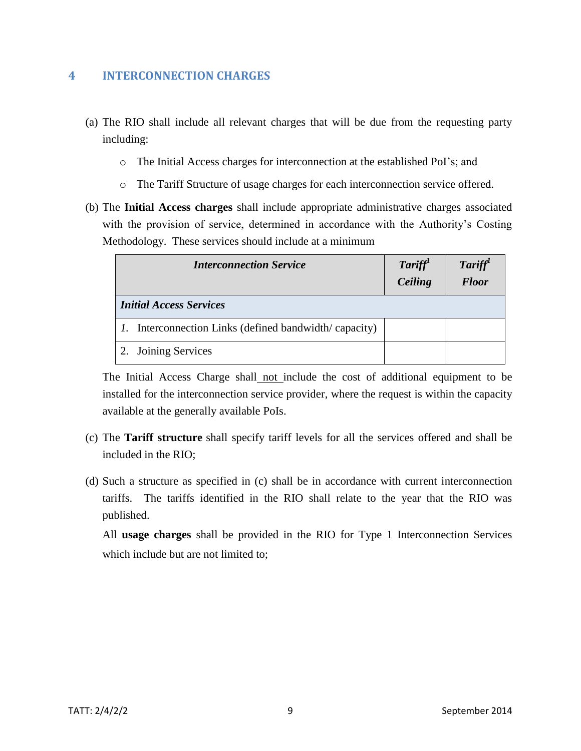# **4 INTERCONNECTION CHARGES**

- (a) The RIO shall include all relevant charges that will be due from the requesting party including:
	- o The Initial Access charges for interconnection at the established PoI's; and
	- o The Tariff Structure of usage charges for each interconnection service offered.
- (b) The **Initial Access charges** shall include appropriate administrative charges associated with the provision of service, determined in accordance with the Authority's Costing Methodology. These services should include at a minimum

| <b>Interconnection Service</b> |                                                              | Tariff<br>Ceiling | Tariff<br><b>Floor</b> |
|--------------------------------|--------------------------------------------------------------|-------------------|------------------------|
| <b>Initial Access Services</b> |                                                              |                   |                        |
|                                | <i>l.</i> Interconnection Links (defined bandwidth/capacity) |                   |                        |
|                                | 2. Joining Services                                          |                   |                        |

The Initial Access Charge shall not include the cost of additional equipment to be installed for the interconnection service provider, where the request is within the capacity available at the generally available PoIs.

- (c) The **Tariff structure** shall specify tariff levels for all the services offered and shall be included in the RIO;
- (d) Such a structure as specified in (c) shall be in accordance with current interconnection tariffs. The tariffs identified in the RIO shall relate to the year that the RIO was published.

All **usage charges** shall be provided in the RIO for Type 1 Interconnection Services which include but are not limited to: